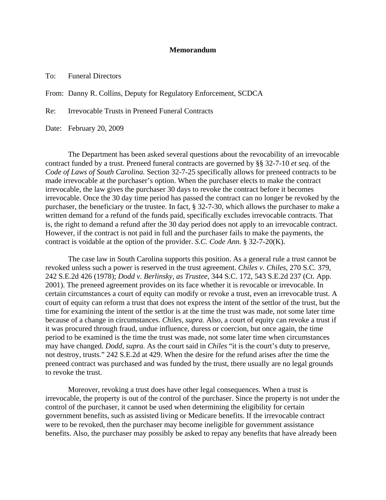## **Memorandum**

To: Funeral Directors

From: Danny R. Collins, Deputy for Regulatory Enforcement, SCDCA

Re: Irrevocable Trusts in Preneed Funeral Contracts

Date: February 20, 2009

 The Department has been asked several questions about the revocability of an irrevocable contract funded by a trust. Preneed funeral contracts are governed by §§ 32-7-10 *et seq.* of the *Code of Laws of South Carolina.* Section 32-7-25 specifically allows for preneed contracts to be made irrevocable at the purchaser's option. When the purchaser elects to make the contract irrevocable, the law gives the purchaser 30 days to revoke the contract before it becomes irrevocable. Once the 30 day time period has passed the contract can no longer be revoked by the purchaser, the beneficiary or the trustee. In fact, § 32-7-30, which allows the purchaser to make a written demand for a refund of the funds paid, specifically excludes irrevocable contracts. That is, the right to demand a refund after the 30 day period does not apply to an irrevocable contract. However, if the contract is not paid in full and the purchaser fails to make the payments, the contract is voidable at the option of the provider. *S.C. Code Ann.* § 32-7-20(K).

 The case law in South Carolina supports this position. As a general rule a trust cannot be revoked unless such a power is reserved in the trust agreement. *Chiles v. Chiles*, 270 S.C. 379, 242 S.E.2d 426 (1978); *Dodd v. Berlinsky, as Trustee*, 344 S.C. 172, 543 S.E.2d 237 (Ct. App. 2001). The preneed agreement provides on its face whether it is revocable or irrevocable. In certain circumstances a court of equity can modify or revoke a trust, even an irrevocable trust. A court of equity can reform a trust that does not express the intent of the settlor of the trust, but the time for examining the intent of the settlor is at the time the trust was made, not some later time because of a change in circumstances. *Chiles, supra.* Also, a court of equity can revoke a trust if it was procured through fraud, undue influence, duress or coercion, but once again, the time period to be examined is the time the trust was made, not some later time when circumstances may have changed. *Dodd, supra.* As the court said in *Chiles* "it is the court's duty to preserve, not destroy, trusts." 242 S.E.2d at 429. When the desire for the refund arises after the time the preneed contract was purchased and was funded by the trust, there usually are no legal grounds to revoke the trust.

 Moreover, revoking a trust does have other legal consequences. When a trust is irrevocable, the property is out of the control of the purchaser. Since the property is not under the control of the purchaser, it cannot be used when determining the eligibility for certain government benefits, such as assisted living or Medicare benefits. If the irrevocable contract were to be revoked, then the purchaser may become ineligible for government assistance benefits. Also, the purchaser may possibly be asked to repay any benefits that have already been